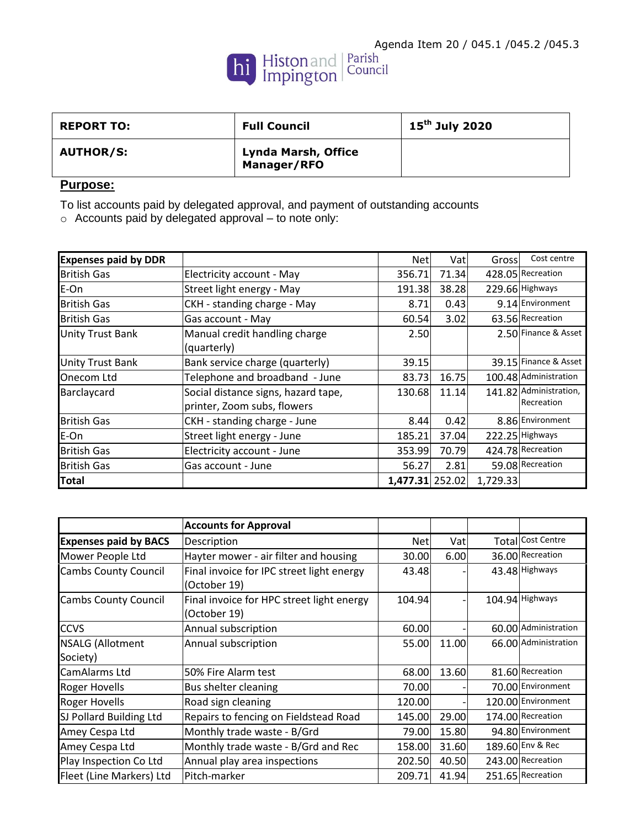

| <b>REPORT TO:</b> | <b>Full Council</b>                       | 15 <sup>th</sup> July 2020 |
|-------------------|-------------------------------------------|----------------------------|
| <b>AUTHOR/S:</b>  | <b>Lynda Marsh, Office</b><br>Manager/RFO |                            |

## **Purpose:**

To list accounts paid by delegated approval, and payment of outstanding accounts

o Accounts paid by delegated approval – to note only:

| <b>Expenses paid by DDR</b> |                                     | Net             | Vatl  | Gross    | Cost centre            |
|-----------------------------|-------------------------------------|-----------------|-------|----------|------------------------|
| <b>British Gas</b>          | Electricity account - May           | 356.71          | 71.34 |          | 428.05 Recreation      |
| E-On                        | Street light energy - May           | 191.38          | 38.28 |          | 229.66 Highways        |
| <b>British Gas</b>          | CKH - standing charge - May         | 8.71            | 0.43  |          | 9.14 Environment       |
| <b>British Gas</b>          | Gas account - May                   | 60.54           | 3.02  |          | 63.56 Recreation       |
| <b>Unity Trust Bank</b>     | Manual credit handling charge       | 2.50            |       |          | 2.50 Finance & Asset   |
|                             | (quarterly)                         |                 |       |          |                        |
| <b>Unity Trust Bank</b>     | Bank service charge (quarterly)     | 39.15           |       |          | 39.15 Finance & Asset  |
| Onecom Ltd                  | Telephone and broadband - June      | 83.73           | 16.75 |          | 100.48 Administration  |
| Barclaycard                 | Social distance signs, hazard tape, | 130.68          | 11.14 |          | 141.82 Administration, |
|                             | printer, Zoom subs, flowers         |                 |       |          | Recreation             |
| <b>British Gas</b>          | CKH - standing charge - June        | 8.44            | 0.42  |          | 8.86 Environment       |
| E-On                        | Street light energy - June          | 185.21          | 37.04 |          | 222.25 Highways        |
| <b>British Gas</b>          | Electricity account - June          | 353.99          | 70.79 |          | 424.78 Recreation      |
| <b>British Gas</b>          | Gas account - June                  | 56.27           | 2.81  |          | 59.08 Recreation       |
| Total                       |                                     | 1,477.31 252.02 |       | 1,729.33 |                        |

|                              | <b>Accounts for Approval</b>              |            |       |                      |
|------------------------------|-------------------------------------------|------------|-------|----------------------|
| <b>Expenses paid by BACS</b> | Description                               | <b>Net</b> | Vatl  | Total Cost Centre    |
| Mower People Ltd             | Hayter mower - air filter and housing     | 30.00      | 6.00  | 36.00 Recreation     |
| <b>Cambs County Council</b>  | Final invoice for IPC street light energy | 43.48      |       | 43.48 Highways       |
|                              | (October 19)                              |            |       |                      |
| <b>Cambs County Council</b>  | Final invoice for HPC street light energy | 104.94     |       | 104.94 Highways      |
|                              | (October 19)                              |            |       |                      |
| <b>CCVS</b>                  | Annual subscription                       | 60.00      |       | 60.00 Administration |
| <b>NSALG (Allotment</b>      | Annual subscription                       | 55.00      | 11.00 | 66.00 Administration |
| Society)                     |                                           |            |       |                      |
| CamAlarms Ltd                | 50% Fire Alarm test                       | 68.00      | 13.60 | 81.60 Recreation     |
| <b>Roger Hovells</b>         | Bus shelter cleaning                      | 70.00      |       | 70.00 Environment    |
| <b>Roger Hovells</b>         | Road sign cleaning                        | 120.00     |       | 120.00 Environment   |
| SJ Pollard Building Ltd      | Repairs to fencing on Fieldstead Road     | 145.00     | 29.00 | 174.00 Recreation    |
| Amey Cespa Ltd               | Monthly trade waste - B/Grd               | 79.00      | 15.80 | 94.80 Environment    |
| Amey Cespa Ltd               | Monthly trade waste - B/Grd and Rec       | 158.00     | 31.60 | 189.60 Env & Rec     |
| Play Inspection Co Ltd       | Annual play area inspections              | 202.50     | 40.50 | 243.00 Recreation    |
| Fleet (Line Markers) Ltd     | Pitch-marker                              | 209.71     | 41.94 | 251.65 Recreation    |